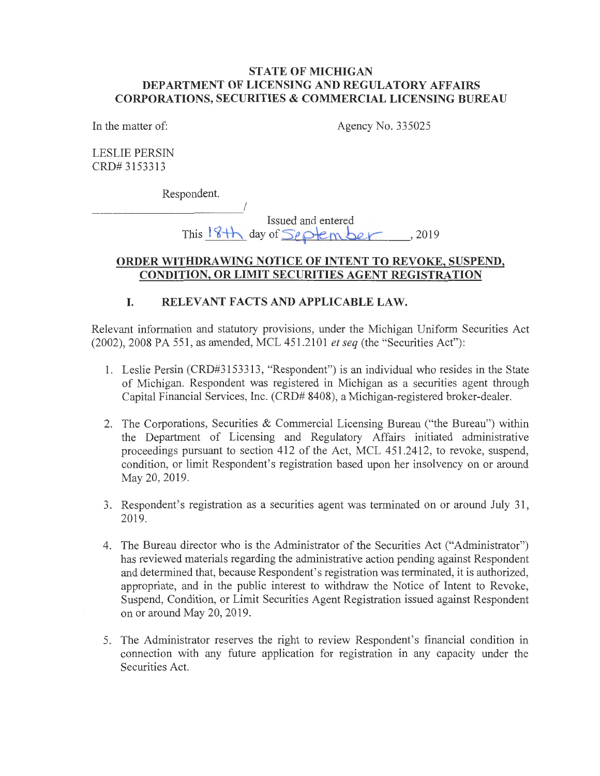### **STATE OF MICHIGAN DEPARTMENT OF LICENSING AND REGULATORY AFFAIRS CORPORATIONS, SECURITIES & COMMERCIAL LICENSING BUREAU**

In the matter of: Agency No. 335025

LESLIE PERSIN CRD# 3153313

Respondent.

Issued and entered<br>This <u>18th</u> day of *Se* plem bere..., 2019

# **ORDER WITHDRAWING NOTICE OF INTENT TO REVOKE, SUSPEND, CONDITION, OR LIMIT SECURITIES AGENT REGISTRATION**

# **I. RELEVANT FACTS AND APPLICABLE LAW.**

Relevant information and statutory provisions, under the Michigan Uniform Securities Act (2002), 2008 PA 551, as amended, MCL 451.2101 *et seq* (the "Securities Act"):

- 1. Leslie Persin (CRD#3153313, "Respondent") is an individual who resides in the State of Michigan. Respondent was registered in Michigan as a securities agent through Capital Financial Services, Inc. (CRD# 8408), a Michigan-registered broker-dealer.
- 2. The Corporations, Securities & Commercial Licensing Bureau ("the Bureau") within the Department of Licensing and Regulatory Affairs initiated administrative proceedings pursuant to section 412 of the Act, MCL 451.2412, to revoke, suspend, condition, or limit Respondent's registration based upon her insolvency on or around May 20, 2019.
- 3. Respondent's registration as a securities agent was terminated on *ot* around July 31, 2019.
- 4. The Bureau director who is the Administrator of the Securities Act ("Administrator") has reviewed materials regarding the administrative action pending against Respondent and determined that, because Respondent's registration was terminated, it is authorized, appropriate, and in the public interest to withdraw the Notice of Intent to Revoke, Suspend, Condition, or Limit Securities Agent Registration issued against Respondent on or around May 20, 2019.
- 5. The Administrator reserves the right to review Respondent's financial condition in connection with any future application for registration in any capacity under the Securities Act.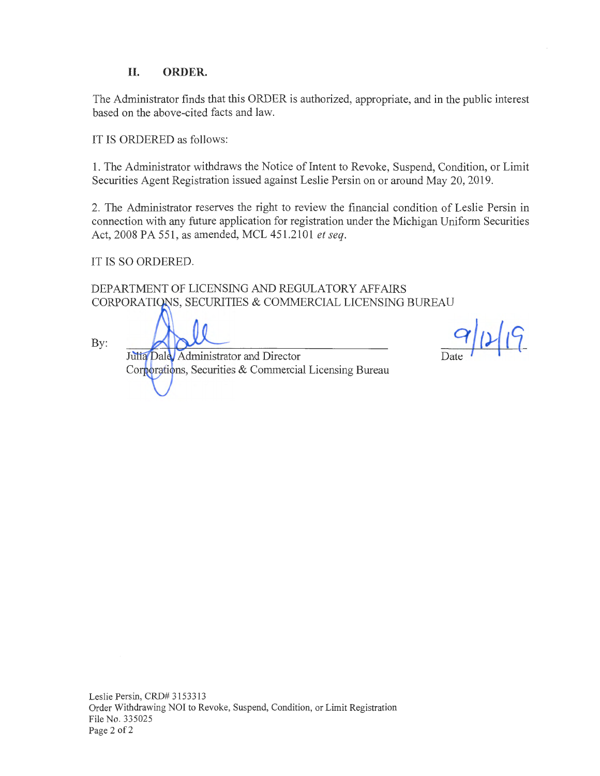# **II. ORDER.**

The Administrator finds that this ORDER is authorized, appropriate, and in the public interest based on the above-cited facts and law.

IT IS ORDERED as follows:

1. The Administrator withdraws the Notice of Intent to Revoke, Suspend, Condition, or Limit Securities Agent Registration issued against Leslie Persin on or around May 20, 2019.

2. The Administrator reserves the right to review the financial condition of Leslie Persin in connection with any future application for registration under the Michigan Uniform Securities Act, 2008 PA 551, as amended, MCL 451.2101 *et seq.* 

IT IS SO ORDERED.

DEPARTMENT OF LICENSING AND REGULATORY AFFAIRS CORPORATIONS, SECURITIES & COMMERCIAL LICENSING BUREAU

By:

Julia Dale Administrator and Director Corporations, Securities & Commercial Licensing Bureau

*qfo,(15*   $\Gamma$ ate  $\Gamma$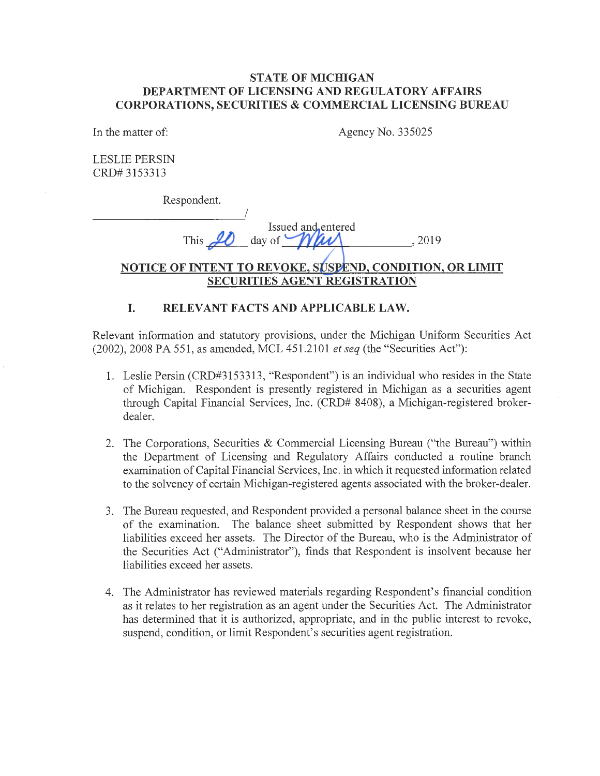### **STATE OF MICHIGAN DEPARTMENT OF LICENSING AND REGULATORY AFFAIRS CORPORATIONS, SECURITIES & COMMERCIAL LICENSING BUREAU**

In the matter of:

Agency No. 335025

LESLIE PERSIN CRD# 3153313

Respondent.

I ------------ This  $10$ .2019

# **NOTICE OF INTENT TO REVOKE, SUSPEND, CONDITION, OR LIMIT SECURITIES AGENT REGISTRATION**

### **I. RELEVANT FACTS AND APPLICABLE LAW.**

Relevant information and statutory provisions, under the Michigan Uniform Securities Act (2002), 2008 PA 551, as amended, MCL 451.2101 *et seq* (the "Securities Act"):

- 1. Leslie Persin (CRD#3153313, "Respondent") is an individual who resides in the State of Michigan. Respondent is presently registered in Michigan as a securities agent through Capital Financial Services, Inc. (CRD# 8408), a Michigan-registered brokerdealer.
- 2. The Corporations, Securities & Commercial Licensing Bureau ("the Bureau") within the Department of Licensing and Regulatory Affairs conducted a routine branch examination of Capital Financial Services, Inc. in which it requested information related to the solvency of certain Michigan-registered agents associated with the broker-dealer.
- 3. The Bureau requested, and Respondent provided a personal balance sheet in the course of the examination. The balance sheet submitted by Respondent shows that her liabilities exceed her assets. The Director of the Bureau, who is the Administrator of the Securities Act ("Administrator"), finds that Respondent is insolvent because her liabilities exceed her assets.
- 4. The Administrator has reviewed materials regarding Respondent's financial condition as it relates to her registration as an agent under the Securities Act. The Administrator has determined that it is authorized, appropriate, and in the public interest to revoke, suspend, condition, or limit Respondent's securities agent registration.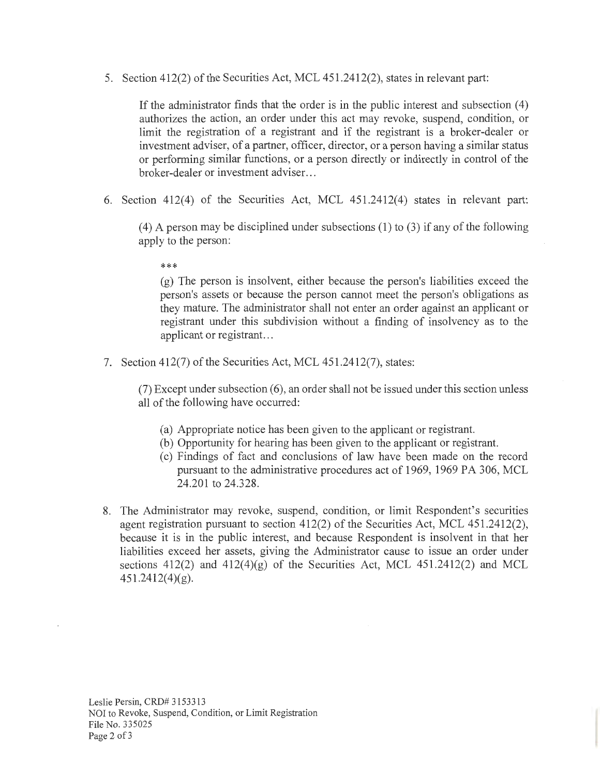5. Section 412(2) of the Securities Act, MCL 451.2412(2), states in relevant part:

If the administrator finds that the order is in the public interest and subsection ( 4) authorizes the action, an order under this act may revoke, suspend, condition, or limit the registration of a registrant and if the registrant is a broker-dealer or investment adviser, of a partner, officer, director, or a person having a similar status or performing similar functions, or a person directly or indirectly in control of the broker-dealer or investment adviser...

6. Section 412(4) of the Securities Act, MCL 451.2412(4) states in relevant part:

(4) A person may be disciplined under subsections  $(1)$  to  $(3)$  if any of the following apply to the person:

\*\*\*

(g) The person is insolvent, either because the person's liabilities exceed the person's assets or because the person cannot meet the person's obligations as they mature. The administrator shall not enter an order against an applicant or registrant under this subdivision without a finding of insolvency as to the applicant or registrant...

7. Section 412(7) of the Securities Act, MCL 451.2412(7), states:

 $(7)$  Except under subsection  $(6)$ , an order shall not be issued under this section unless all of the following have occurred:

- (a) Appropriate notice has been given to the applicant or registrant.
- (b) Opportunity for hearing has been given to the applicant or registrant.
- ( c) Findings of fact and conclusions of law have been made on the record pursuant to the administrative procedures act of 1969, 1969 PA 306, MCL 24.201 to 24.328.
- 8. The Administrator may revoke, suspend, condition, or limit Respondent's securities agent registration pursuant to section 412(2) of the Securities Act, MCL 451.2412(2), because it is in the public interest, and because Respondent is insolvent in that her liabilities exceed her assets, giving the Administrator cause to issue an order under sections  $412(2)$  and  $412(4)(g)$  of the Securities Act, MCL  $451.2412(2)$  and MCL  $451.2412(4)(g)$ .

Leslie Persin, CRD# 3153313 NOi to Revoke, Suspend, Condition, or Limit Registration File No. 335025 Page 2 of 3